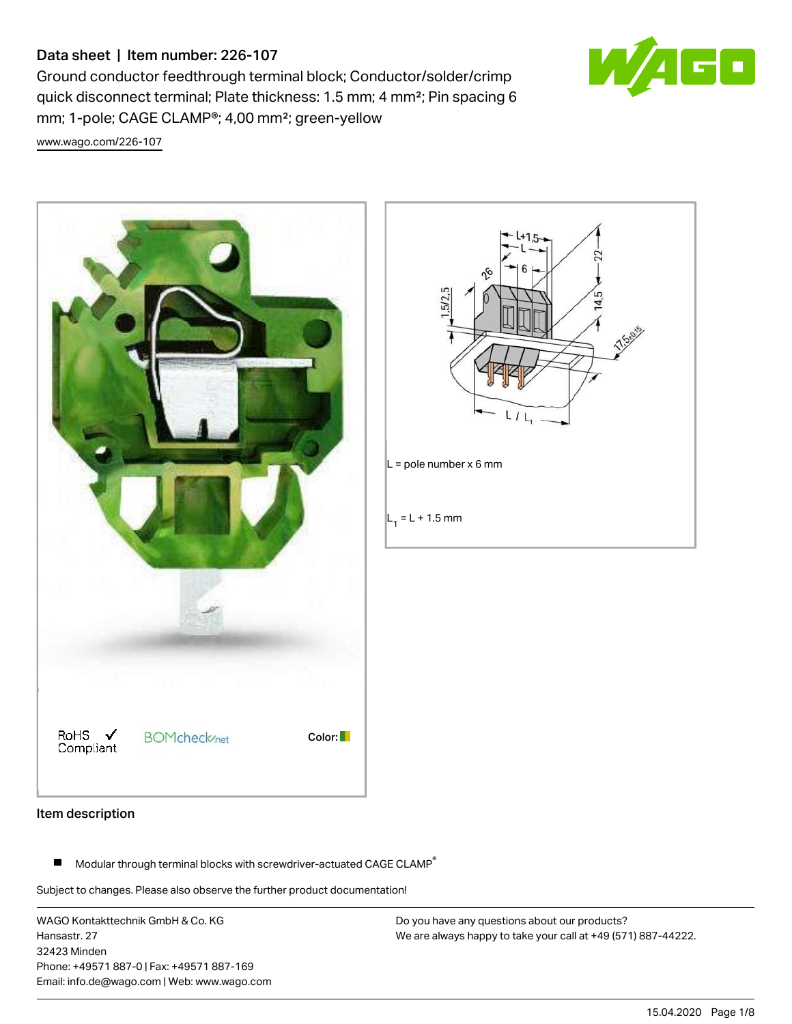# Data sheet | Item number: 226-107

Ground conductor feedthrough terminal block; Conductor/solder/crimp quick disconnect terminal; Plate thickness: 1.5 mm; 4 mm²; Pin spacing 6 mm; 1-pole; CAGE CLAMP®; 4,00 mm²; green-yellow

[www.wago.com/226-107](http://www.wago.com/226-107)





#### Item description

П Modular through terminal blocks with screwdriver-actuated CAGE CLAMP<sup>®</sup>

Subject to changes. Please also observe the further product documentation!

WAGO Kontakttechnik GmbH & Co. KG Hansastr. 27 32423 Minden Phone: +49571 887-0 | Fax: +49571 887-169 Email: info.de@wago.com | Web: www.wago.com

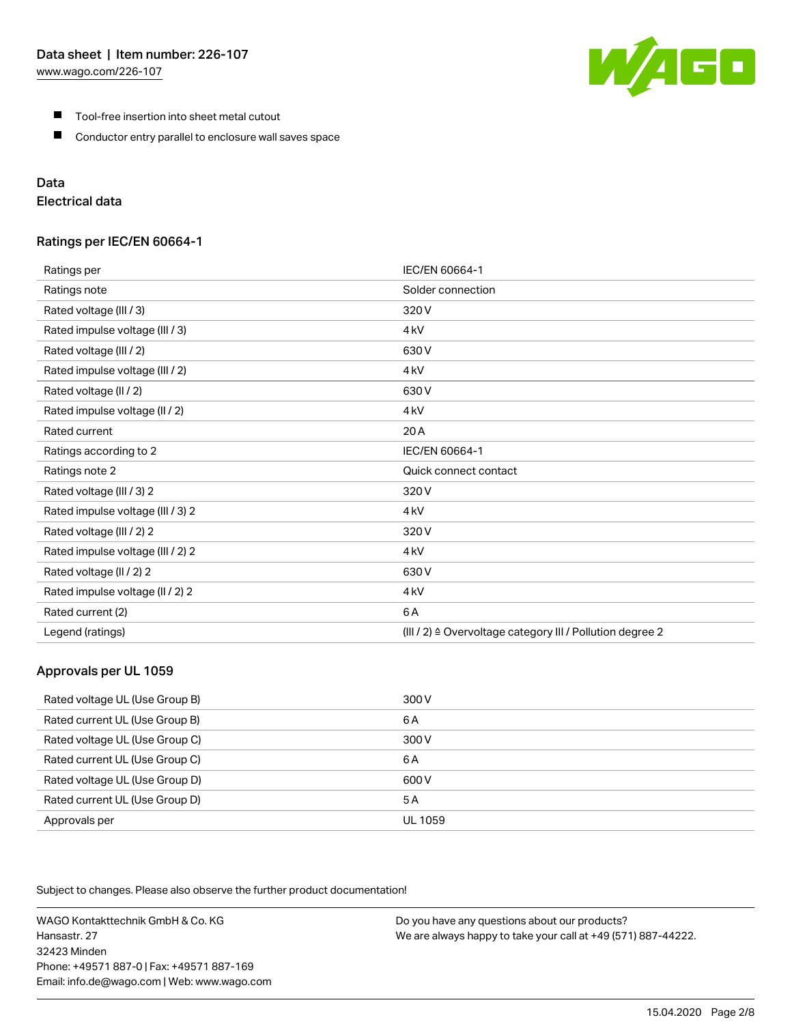[www.wago.com/226-107](http://www.wago.com/226-107)



- $\blacksquare$ Tool-free insertion into sheet metal cutout
- $\blacksquare$ Conductor entry parallel to enclosure wall saves space

# Data

# Electrical data

## Ratings per IEC/EN 60664-1

| Ratings per                       | IEC/EN 60664-1                                            |
|-----------------------------------|-----------------------------------------------------------|
| Ratings note                      | Solder connection                                         |
| Rated voltage (III / 3)           | 320V                                                      |
| Rated impulse voltage (III / 3)   | 4 <sub>kV</sub>                                           |
| Rated voltage (III / 2)           | 630V                                                      |
| Rated impulse voltage (III / 2)   | 4 <sub>kV</sub>                                           |
| Rated voltage (II / 2)            | 630V                                                      |
| Rated impulse voltage (II / 2)    | 4 <sub>kV</sub>                                           |
| Rated current                     | 20 A                                                      |
| Ratings according to 2            | IEC/EN 60664-1                                            |
| Ratings note 2                    | Quick connect contact                                     |
| Rated voltage (III / 3) 2         | 320 V                                                     |
| Rated impulse voltage (III / 3) 2 | 4 <sub>k</sub> V                                          |
| Rated voltage (III / 2) 2         | 320V                                                      |
| Rated impulse voltage (III / 2) 2 | 4 <sub>k</sub> V                                          |
| Rated voltage (II / 2) 2          | 630V                                                      |
| Rated impulse voltage (II / 2) 2  | 4 <sub>kV</sub>                                           |
| Rated current (2)                 | 6A                                                        |
| Legend (ratings)                  | (III / 2) ≙ Overvoltage category III / Pollution degree 2 |

# Approvals per UL 1059

| Rated voltage UL (Use Group B) | 300 V   |
|--------------------------------|---------|
| Rated current UL (Use Group B) | 6 A     |
| Rated voltage UL (Use Group C) | 300 V   |
| Rated current UL (Use Group C) | 6 A     |
| Rated voltage UL (Use Group D) | 600 V   |
| Rated current UL (Use Group D) | 5 A     |
| Approvals per                  | UL 1059 |

Subject to changes. Please also observe the further product documentation!

WAGO Kontakttechnik GmbH & Co. KG Hansastr. 27 32423 Minden Phone: +49571 887-0 | Fax: +49571 887-169 Email: info.de@wago.com | Web: www.wago.com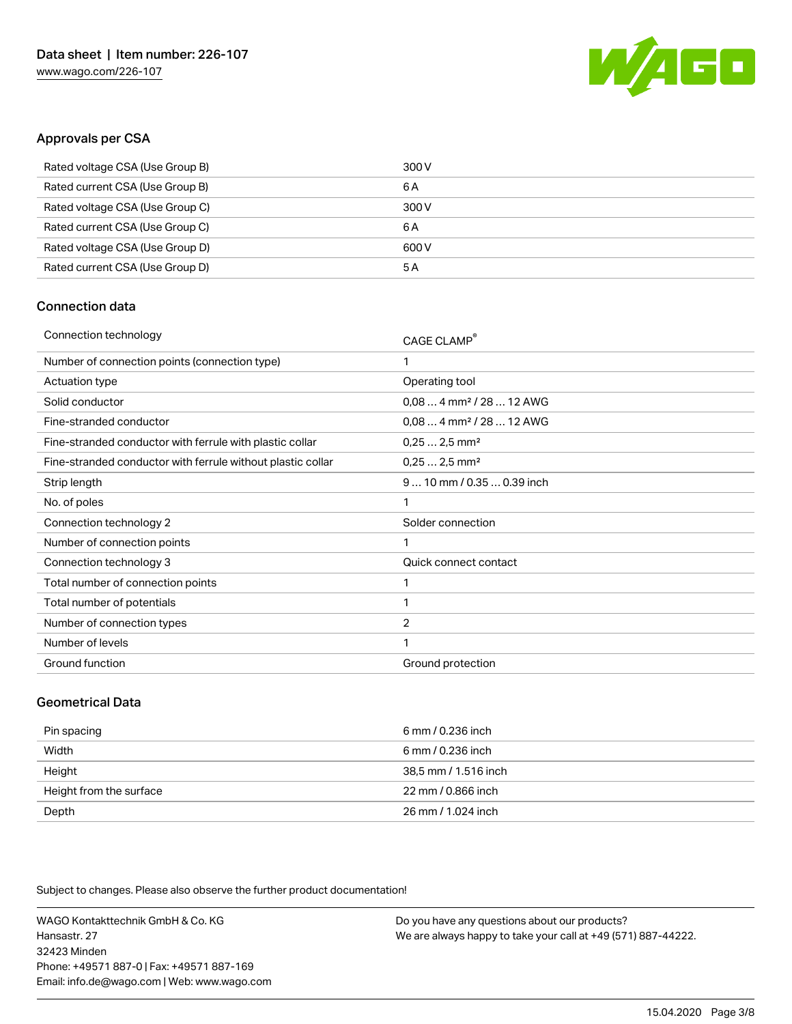

# Approvals per CSA

| Rated voltage CSA (Use Group B) | 300 V |
|---------------------------------|-------|
| Rated current CSA (Use Group B) | 6 A   |
| Rated voltage CSA (Use Group C) | 300 V |
| Rated current CSA (Use Group C) | 6 A   |
| Rated voltage CSA (Use Group D) | 600 V |
| Rated current CSA (Use Group D) | 5 A   |

# Connection data

| Connection technology                                       | CAGE CLAMP®                          |
|-------------------------------------------------------------|--------------------------------------|
| Number of connection points (connection type)               | 1                                    |
| Actuation type                                              | Operating tool                       |
| Solid conductor                                             | $0.084$ mm <sup>2</sup> / 28  12 AWG |
| Fine-stranded conductor                                     | $0.084$ mm <sup>2</sup> / 28  12 AWG |
| Fine-stranded conductor with ferrule with plastic collar    | $0,252,5$ mm <sup>2</sup>            |
| Fine-stranded conductor with ferrule without plastic collar | $0,252,5$ mm <sup>2</sup>            |
| Strip length                                                | 9  10 mm / 0.35  0.39 inch           |
| No. of poles                                                | 1                                    |
| Connection technology 2                                     | Solder connection                    |
| Number of connection points                                 | 1                                    |
| Connection technology 3                                     | Quick connect contact                |
| Total number of connection points                           | 1                                    |
| Total number of potentials                                  | 1                                    |
| Number of connection types                                  | $\overline{2}$                       |
| Number of levels                                            | $\mathbf{1}$                         |
| Ground function                                             | Ground protection                    |
|                                                             |                                      |

### Geometrical Data

| Pin spacing             | 6 mm / 0.236 inch    |
|-------------------------|----------------------|
| Width                   | 6 mm / 0.236 inch    |
| Height                  | 38.5 mm / 1.516 inch |
| Height from the surface | 22 mm / 0.866 inch   |
| Depth                   | 26 mm / 1.024 inch   |

Subject to changes. Please also observe the further product documentation!

WAGO Kontakttechnik GmbH & Co. KG Hansastr. 27 32423 Minden Phone: +49571 887-0 | Fax: +49571 887-169 Email: info.de@wago.com | Web: www.wago.com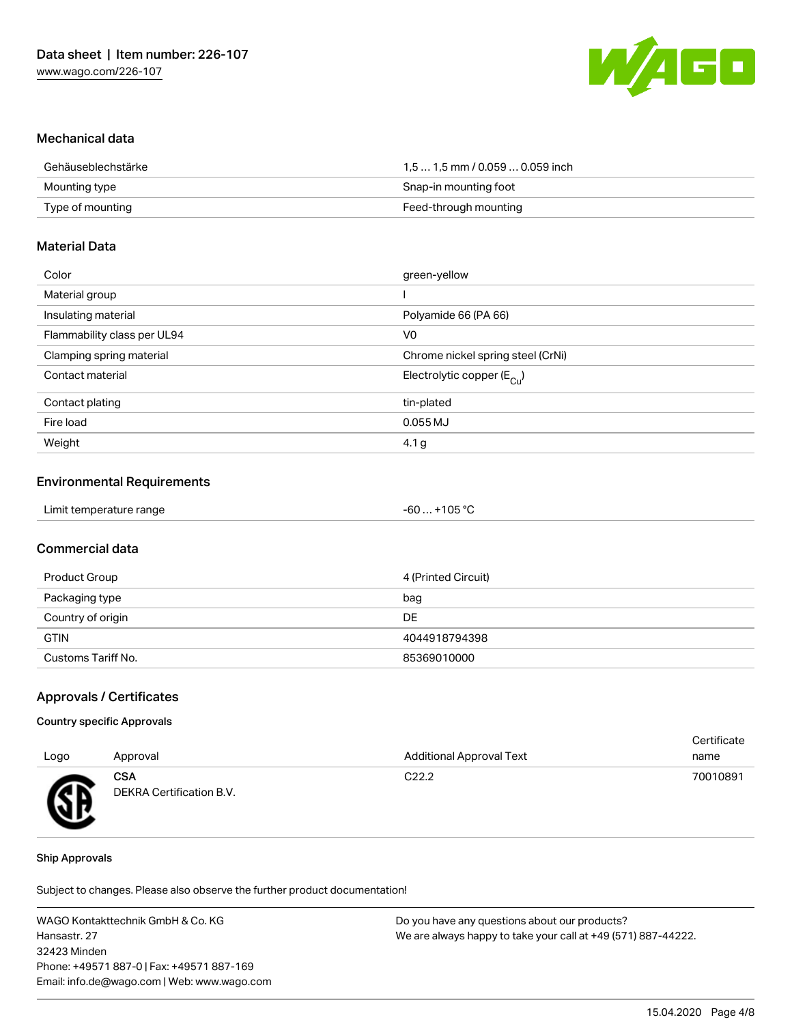

### Mechanical data

| Gehäuseblechstärke | 1,5  1,5 mm / 0.059  0.059 inch |
|--------------------|---------------------------------|
| Mounting type      | Snap-in mounting foot           |
| Type of mounting   | Feed-through mounting           |

#### Material Data

| Color                       | green-yellow                          |
|-----------------------------|---------------------------------------|
| Material group              |                                       |
| Insulating material         | Polyamide 66 (PA 66)                  |
| Flammability class per UL94 | V <sub>0</sub>                        |
| Clamping spring material    | Chrome nickel spring steel (CrNi)     |
| Contact material            | Electrolytic copper $(E_{\text{Cl}})$ |
| Contact plating             | tin-plated                            |
| Fire load                   | 0.055 MJ                              |
| Weight                      | 4.1 g                                 |

### Environmental Requirements

| Limit temperature range<br>. | $+105 °C$<br>-60 |  |
|------------------------------|------------------|--|
|------------------------------|------------------|--|

## Commercial data

| Product Group      | 4 (Printed Circuit) |
|--------------------|---------------------|
| Packaging type     | bag                 |
| Country of origin  | DE                  |
| <b>GTIN</b>        | 4044918794398       |
| Customs Tariff No. | 85369010000         |

#### Approvals / Certificates

#### Country specific Approvals

| Logo | Approval                               | <b>Additional Approval Text</b> | Certificate<br>name |
|------|----------------------------------------|---------------------------------|---------------------|
| Æ    | <b>CSA</b><br>DEKRA Certification B.V. | C <sub>22.2</sub>               | 70010891            |

#### Ship Approvals

Subject to changes. Please also observe the further product documentation!

WAGO Kontakttechnik GmbH & Co. KG Hansastr. 27 32423 Minden Phone: +49571 887-0 | Fax: +49571 887-169 Email: info.de@wago.com | Web: www.wago.com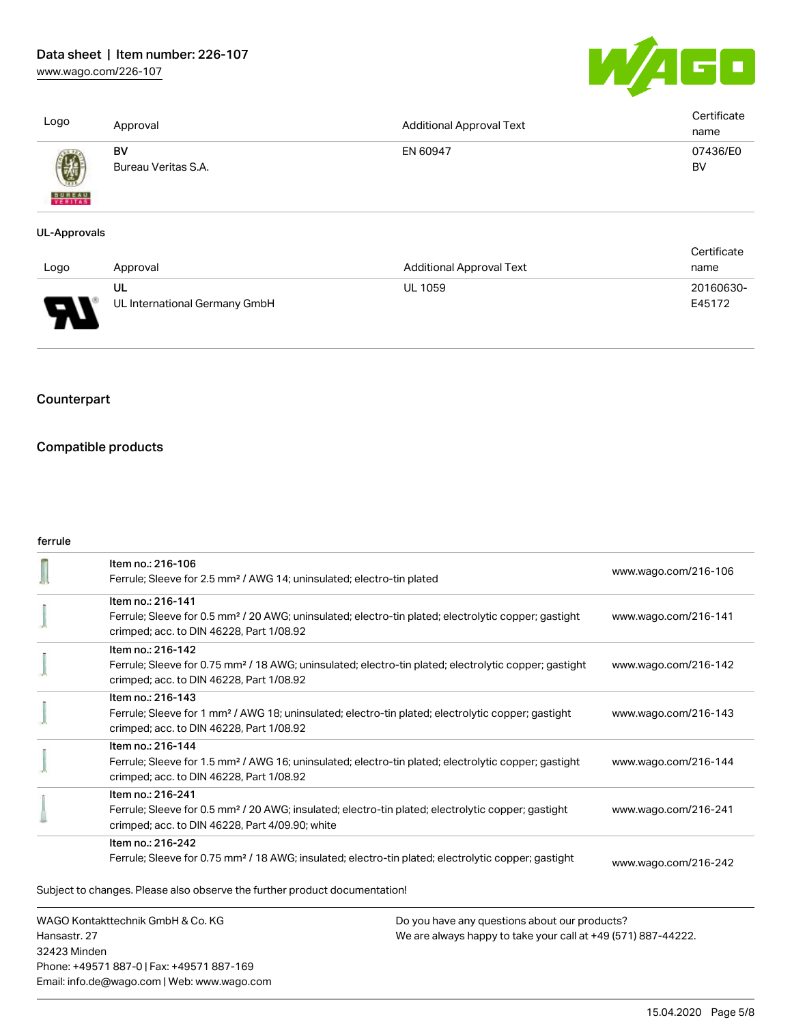[www.wago.com/226-107](http://www.wago.com/226-107)



E45172

| Logo                          | Approval                         | <b>Additional Approval Text</b> | Certificate<br>name |
|-------------------------------|----------------------------------|---------------------------------|---------------------|
| 國<br><b>BUREAU</b><br>VERITAS | <b>BV</b><br>Bureau Veritas S.A. | EN 60947                        | 07436/E0<br>BV      |
| UL-Approvals                  |                                  |                                 |                     |
|                               |                                  |                                 | Certificate         |
| Logo                          | Approval                         | <b>Additional Approval Text</b> | name                |
|                               | UL                               | <b>UL 1059</b>                  | 20160630-           |



UL International Germany GmbH

# **Counterpart**

# Compatible products

## ferrule

|                                                                   | Item no.: 216-106<br>Ferrule; Sleeve for 2.5 mm <sup>2</sup> / AWG 14; uninsulated; electro-tin plated                                                                                 |                                                                                                                | www.wago.com/216-106 |
|-------------------------------------------------------------------|----------------------------------------------------------------------------------------------------------------------------------------------------------------------------------------|----------------------------------------------------------------------------------------------------------------|----------------------|
|                                                                   | Item no.: 216-141<br>Ferrule; Sleeve for 0.5 mm <sup>2</sup> / 20 AWG; uninsulated; electro-tin plated; electrolytic copper; gastight<br>crimped; acc. to DIN 46228, Part 1/08.92      |                                                                                                                | www.wago.com/216-141 |
|                                                                   | Item no.: 216-142<br>Ferrule; Sleeve for 0.75 mm <sup>2</sup> / 18 AWG; uninsulated; electro-tin plated; electrolytic copper; gastight<br>crimped; acc. to DIN 46228, Part 1/08.92     |                                                                                                                | www.wago.com/216-142 |
|                                                                   | Item no.: 216-143<br>Ferrule; Sleeve for 1 mm <sup>2</sup> / AWG 18; uninsulated; electro-tin plated; electrolytic copper; gastight<br>crimped; acc. to DIN 46228, Part 1/08.92        |                                                                                                                | www.wago.com/216-143 |
|                                                                   | Item no.: 216-144<br>Ferrule; Sleeve for 1.5 mm <sup>2</sup> / AWG 16; uninsulated; electro-tin plated; electrolytic copper; gastight<br>crimped; acc. to DIN 46228, Part 1/08.92      |                                                                                                                | www.wago.com/216-144 |
|                                                                   | Item no.: 216-241<br>Ferrule; Sleeve for 0.5 mm <sup>2</sup> / 20 AWG; insulated; electro-tin plated; electrolytic copper; gastight<br>crimped; acc. to DIN 46228, Part 4/09.90; white |                                                                                                                | www.wago.com/216-241 |
|                                                                   | Item no.: 216-242<br>Ferrule; Sleeve for 0.75 mm <sup>2</sup> / 18 AWG; insulated; electro-tin plated; electrolytic copper; gastight                                                   |                                                                                                                | www.wago.com/216-242 |
|                                                                   | Subject to changes. Please also observe the further product documentation!                                                                                                             |                                                                                                                |                      |
| WAGO Kontakttechnik GmbH & Co. KG<br>Hansastr, 27<br>32423 Minden |                                                                                                                                                                                        | Do you have any questions about our products?<br>We are always happy to take your call at +49 (571) 887-44222. |                      |

Phone: +49571 887-0 | Fax: +49571 887-169 Email: info.de@wago.com | Web: www.wago.com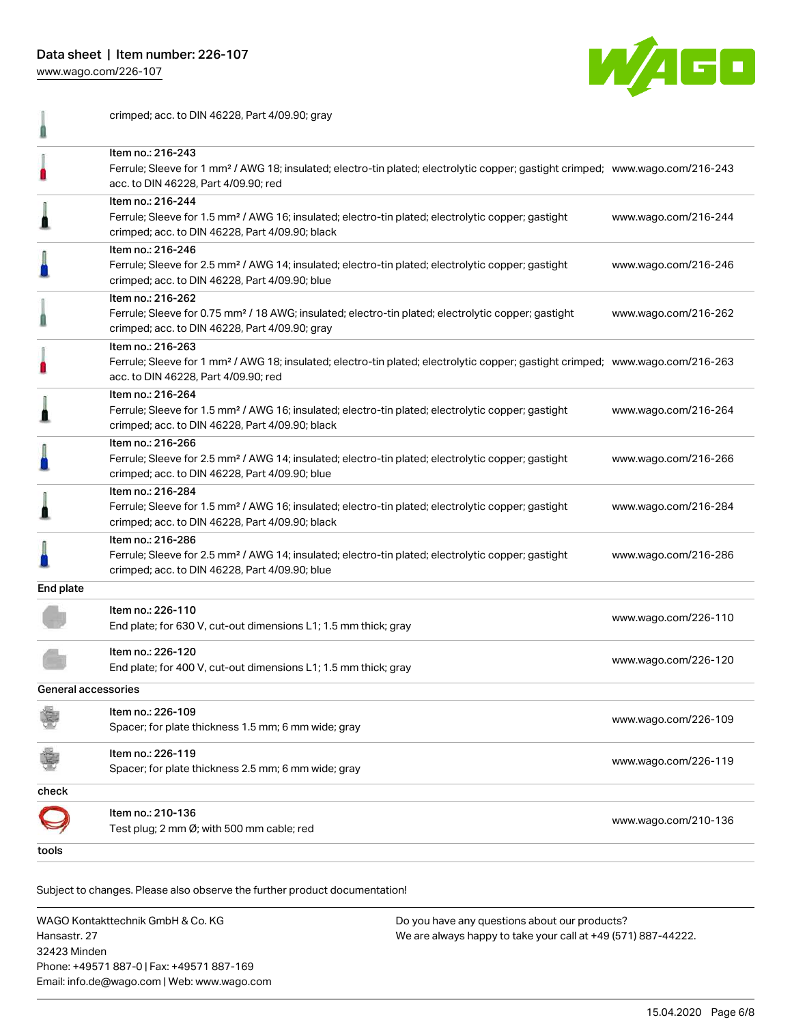Data sheet | Item number: 226-107

crimped; acc. to DIN 46228, Part 4/09.90; gray

[www.wago.com/226-107](http://www.wago.com/226-107)

1



|                     | Item no.: 216-243<br>Ferrule; Sleeve for 1 mm <sup>2</sup> / AWG 18; insulated; electro-tin plated; electrolytic copper; gastight crimped; www.wago.com/216-243<br>acc. to DIN 46228, Part 4/09.90; red |                      |
|---------------------|---------------------------------------------------------------------------------------------------------------------------------------------------------------------------------------------------------|----------------------|
|                     | Item no.: 216-244<br>Ferrule; Sleeve for 1.5 mm <sup>2</sup> / AWG 16; insulated; electro-tin plated; electrolytic copper; gastight<br>crimped; acc. to DIN 46228, Part 4/09.90; black                  | www.wago.com/216-244 |
|                     | Item no.: 216-246<br>Ferrule; Sleeve for 2.5 mm <sup>2</sup> / AWG 14; insulated; electro-tin plated; electrolytic copper; gastight<br>crimped; acc. to DIN 46228, Part 4/09.90; blue                   | www.wago.com/216-246 |
|                     | Item no.: 216-262<br>Ferrule; Sleeve for 0.75 mm <sup>2</sup> / 18 AWG; insulated; electro-tin plated; electrolytic copper; gastight<br>crimped; acc. to DIN 46228, Part 4/09.90; gray                  | www.wago.com/216-262 |
|                     | Item no.: 216-263<br>Ferrule; Sleeve for 1 mm <sup>2</sup> / AWG 18; insulated; electro-tin plated; electrolytic copper; gastight crimped; www.wago.com/216-263<br>acc. to DIN 46228, Part 4/09.90; red |                      |
|                     | Item no.: 216-264<br>Ferrule; Sleeve for 1.5 mm <sup>2</sup> / AWG 16; insulated; electro-tin plated; electrolytic copper; gastight<br>crimped; acc. to DIN 46228, Part 4/09.90; black                  | www.wago.com/216-264 |
|                     | Item no.: 216-266<br>Ferrule; Sleeve for 2.5 mm <sup>2</sup> / AWG 14; insulated; electro-tin plated; electrolytic copper; gastight<br>crimped; acc. to DIN 46228, Part 4/09.90; blue                   | www.wago.com/216-266 |
|                     | Item no.: 216-284<br>Ferrule; Sleeve for 1.5 mm <sup>2</sup> / AWG 16; insulated; electro-tin plated; electrolytic copper; gastight<br>crimped; acc. to DIN 46228, Part 4/09.90; black                  | www.wago.com/216-284 |
|                     | Item no.: 216-286<br>Ferrule; Sleeve for 2.5 mm <sup>2</sup> / AWG 14; insulated; electro-tin plated; electrolytic copper; gastight<br>crimped; acc. to DIN 46228, Part 4/09.90; blue                   | www.wago.com/216-286 |
| End plate           |                                                                                                                                                                                                         |                      |
|                     | Item no.: 226-110<br>End plate; for 630 V, cut-out dimensions L1; 1.5 mm thick; gray                                                                                                                    | www.wago.com/226-110 |
|                     | Item no.: 226-120<br>End plate; for 400 V, cut-out dimensions L1; 1.5 mm thick; gray                                                                                                                    | www.wago.com/226-120 |
| General accessories |                                                                                                                                                                                                         |                      |
|                     | Item no.: 226-109<br>Spacer; for plate thickness 1.5 mm; 6 mm wide; gray                                                                                                                                | www.wago.com/226-109 |
|                     | Item no.: 226-119<br>Spacer; for plate thickness 2.5 mm; 6 mm wide; gray                                                                                                                                | www.wago.com/226-119 |
| check               |                                                                                                                                                                                                         |                      |
|                     | Item no.: 210-136<br>Test plug; 2 mm Ø; with 500 mm cable; red                                                                                                                                          | www.wago.com/210-136 |
|                     |                                                                                                                                                                                                         |                      |

Subject to changes. Please also observe the further product documentation!

WAGO Kontakttechnik GmbH & Co. KG Hansastr. 27 32423 Minden Phone: +49571 887-0 | Fax: +49571 887-169 Email: info.de@wago.com | Web: www.wago.com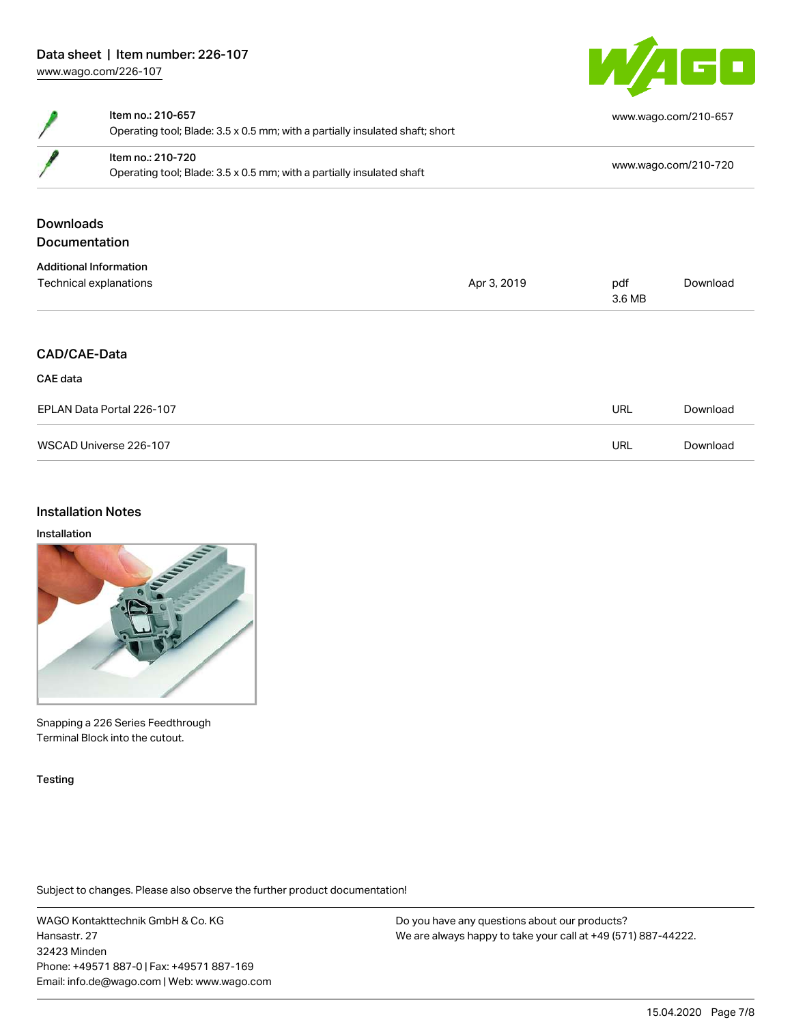

|                           | Item no.: 210-657<br>Operating tool; Blade: 3.5 x 0.5 mm; with a partially insulated shaft; short |             |                      | www.wago.com/210-657 |  |
|---------------------------|---------------------------------------------------------------------------------------------------|-------------|----------------------|----------------------|--|
|                           | Item no.: 210-720<br>Operating tool; Blade: 3.5 x 0.5 mm; with a partially insulated shaft        |             | www.wago.com/210-720 |                      |  |
| <b>Downloads</b>          |                                                                                                   |             |                      |                      |  |
|                           | <b>Documentation</b>                                                                              |             |                      |                      |  |
|                           | <b>Additional Information</b>                                                                     |             |                      |                      |  |
| Technical explanations    |                                                                                                   | Apr 3, 2019 | pdf<br>3.6 MB        | Download             |  |
|                           | CAD/CAE-Data                                                                                      |             |                      |                      |  |
| CAE data                  |                                                                                                   |             |                      |                      |  |
| EPLAN Data Portal 226-107 |                                                                                                   |             | <b>URL</b>           | Download             |  |
| WSCAD Universe 226-107    |                                                                                                   |             | <b>URL</b>           | Download             |  |
|                           |                                                                                                   |             |                      |                      |  |

## Installation Notes

#### Installation



Snapping a 226 Series Feedthrough Terminal Block into the cutout.

#### Testing

Subject to changes. Please also observe the further product documentation!

WAGO Kontakttechnik GmbH & Co. KG Hansastr. 27 32423 Minden Phone: +49571 887-0 | Fax: +49571 887-169 Email: info.de@wago.com | Web: www.wago.com